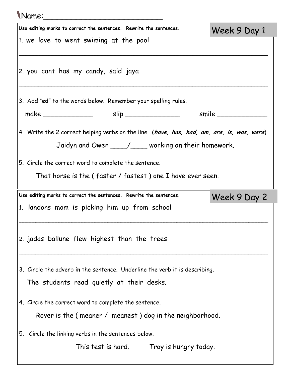| Name:                                                                                                                                             |              |
|---------------------------------------------------------------------------------------------------------------------------------------------------|--------------|
| Use editing marks to correct the sentences. Rewrite the sentences.                                                                                | Week 9 Day 1 |
| 1. we love to went swiming at the pool                                                                                                            |              |
| 2. you cant has my candy, said jaya                                                                                                               |              |
| 3. Add "ed" to the words below. Remember your spelling rules.                                                                                     |              |
|                                                                                                                                                   |              |
| 4. Write the 2 correct helping verbs on the line. (have, has, had, am, are, is, was, were)<br>Jaidyn and Owen ____/___ working on their homework. |              |
| 5. Circle the correct word to complete the sentence.                                                                                              |              |
| That horse is the (faster / fastest) one I have ever seen.                                                                                        |              |
| Use editing marks to correct the sentences. Rewrite the sentences.                                                                                | Week 9 Day 2 |
| 1. landons mom is picking him up from school                                                                                                      |              |
| 2. jadas ballune flew highest than the trees                                                                                                      |              |
| 3. Circle the adverb in the sentence. Underline the verb it is describing.                                                                        |              |
| The students read quietly at their desks.                                                                                                         |              |
| 4. Circle the correct word to complete the sentence.<br>Rover is the (meaner / meanest) dog in the neighborhood.                                  |              |
| 5. Circle the linking verbs in the sentences below.                                                                                               |              |
| This test is hard. Troy is hungry today.                                                                                                          |              |
|                                                                                                                                                   |              |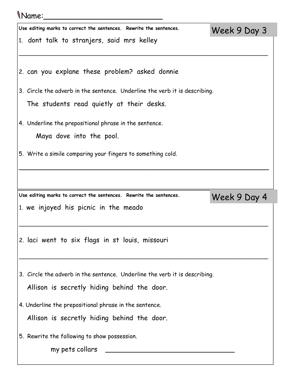## Name:\_\_\_\_\_\_\_\_\_\_\_\_\_\_\_\_\_\_\_\_\_\_\_\_\_

| Use editing marks to correct the sentences. Rewrite the sentences.         | Week 9 Day 3 |  |  |  |  |
|----------------------------------------------------------------------------|--------------|--|--|--|--|
| 1. dont talk to stranjers, said mrs kelley                                 |              |  |  |  |  |
|                                                                            |              |  |  |  |  |
| 2. can you explane these problem? asked donnie                             |              |  |  |  |  |
| 3. Circle the adverb in the sentence. Underline the verb it is describing. |              |  |  |  |  |
| The students read quietly at their desks.                                  |              |  |  |  |  |
| 4. Underline the prepositional phrase in the sentence.                     |              |  |  |  |  |
| Maya dove into the pool.                                                   |              |  |  |  |  |
| 5. Write a simile comparing your fingers to something cold.                |              |  |  |  |  |
|                                                                            |              |  |  |  |  |
|                                                                            |              |  |  |  |  |
| Use editing marks to correct the sentences. Rewrite the sentences.         | Week 9 Day 4 |  |  |  |  |
| 1. we injoyed his picnic in the meado                                      |              |  |  |  |  |
|                                                                            |              |  |  |  |  |
| 2. laci went to six flags in st louis, missouri                            |              |  |  |  |  |
|                                                                            |              |  |  |  |  |
|                                                                            |              |  |  |  |  |
| 3. Circle the adverb in the sentence. Underline the verb it is describing. |              |  |  |  |  |
| Allison is secretly hiding behind the door.                                |              |  |  |  |  |
| 4. Underline the prepositional phrase in the sentence.                     |              |  |  |  |  |
| Allison is secretly hiding behind the door.                                |              |  |  |  |  |
|                                                                            |              |  |  |  |  |

 $\big|$ 5. Rewrite the following to show possession.

my pets collars \_\_\_\_\_\_\_\_\_\_\_\_\_\_\_\_\_\_\_\_\_\_\_\_\_\_\_\_\_\_\_